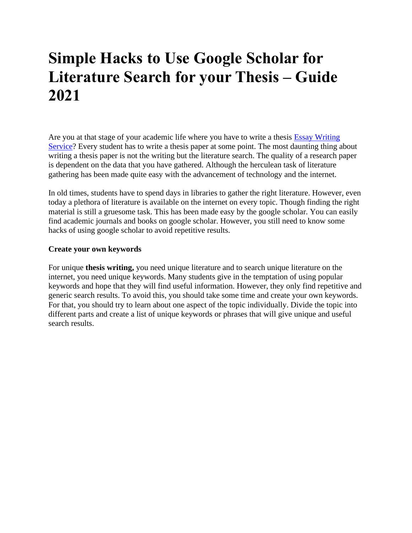# **Simple Hacks to Use Google Scholar for Literature Search for your Thesis – Guide 2021**

Are you at that stage of your academic life where you have to write a thesis [Essay Writing](https://www.myperfectwords.com/)  [Service?](https://www.myperfectwords.com/) Every student has to write a thesis paper at some point. The most daunting thing about writing a thesis paper is not the writing but the literature search. The quality of a research paper is dependent on the data that you have gathered. Although the herculean task of literature gathering has been made quite easy with the advancement of technology and the internet.

In old times, students have to spend days in libraries to gather the right literature. However, even today a plethora of literature is available on the internet on every topic. Though finding the right material is still a gruesome task. This has been made easy by the google scholar. You can easily find academic journals and books on google scholar. However, you still need to know some hacks of using google scholar to avoid repetitive results.

### **Create your own keywords**

For unique **thesis writing,** you need unique literature and to search unique literature on the internet, you need unique keywords. Many students give in the temptation of using popular keywords and hope that they will find useful information. However, they only find repetitive and generic search results. To avoid this, you should take some time and create your own keywords. For that, you should try to learn about one aspect of the topic individually. Divide the topic into different parts and create a list of unique keywords or phrases that will give unique and useful search results.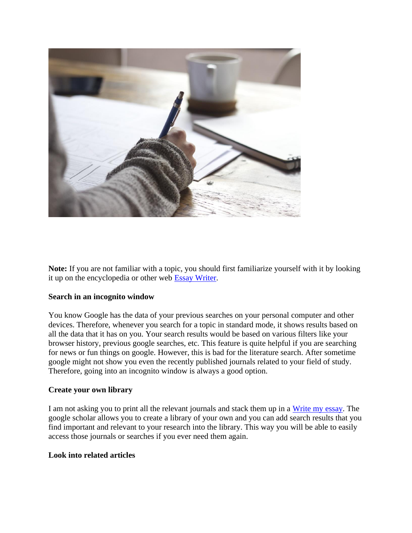

**Note:** If you are not familiar with a topic, you should first familiarize yourself with it by looking it up on the encyclopedia or other web [Essay Writer.](https://www.myperfectwords.com/)

### **Search in an incognito window**

You know Google has the data of your previous searches on your personal computer and other devices. Therefore, whenever you search for a topic in standard mode, it shows results based on all the data that it has on you. Your search results would be based on various filters like your browser history, previous google searches, etc. This feature is quite helpful if you are searching for news or fun things on google. However, this is bad for the literature search. After sometime google might not show you even the recently published journals related to your field of study. Therefore, going into an incognito window is always a good option.

### **Create your own library**

I am not asking you to print all the relevant journals and stack them up in a [Write my essay.](https://www.myperfectwords.com/) The google scholar allows you to create a library of your own and you can add search results that you find important and relevant to your research into the library. This way you will be able to easily access those journals or searches if you ever need them again.

### **Look into related articles**